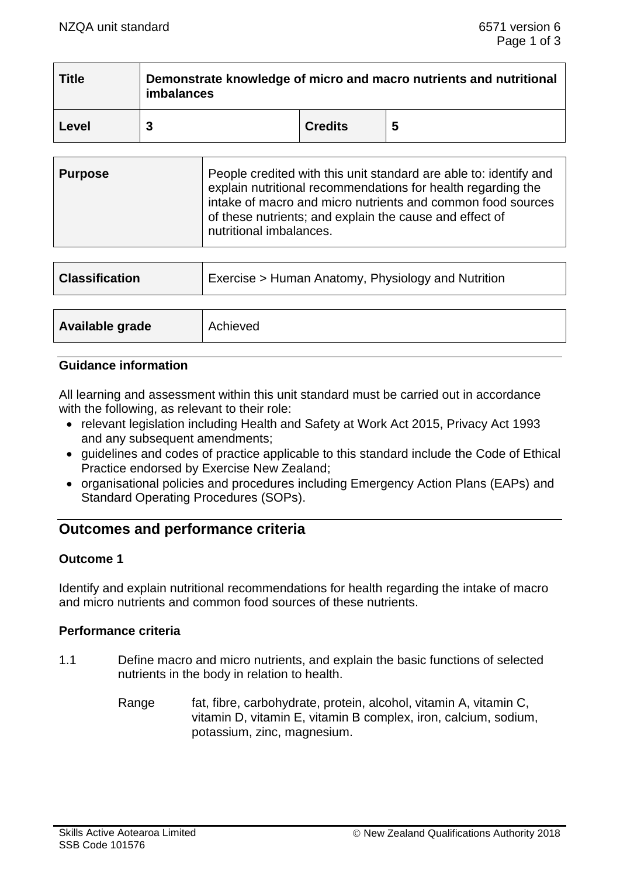| <b>Title</b> | Demonstrate knowledge of micro and macro nutrients and nutritional<br>imbalances |                |   |
|--------------|----------------------------------------------------------------------------------|----------------|---|
| Level        |                                                                                  | <b>Credits</b> | 5 |

| <b>Purpose</b><br>nutritional imbalances. | People credited with this unit standard are able to: identify and<br>explain nutritional recommendations for health regarding the<br>intake of macro and micro nutrients and common food sources<br>of these nutrients; and explain the cause and effect of |
|-------------------------------------------|-------------------------------------------------------------------------------------------------------------------------------------------------------------------------------------------------------------------------------------------------------------|
|-------------------------------------------|-------------------------------------------------------------------------------------------------------------------------------------------------------------------------------------------------------------------------------------------------------------|

| <b>Classification</b> | Exercise > Human Anatomy, Physiology and Nutrition |
|-----------------------|----------------------------------------------------|
|                       |                                                    |
| Available grade       | Achieved                                           |

### **Guidance information**

All learning and assessment within this unit standard must be carried out in accordance with the following, as relevant to their role:

- relevant legislation including Health and Safety at Work Act 2015, Privacy Act 1993 and any subsequent amendments;
- guidelines and codes of practice applicable to this standard include the Code of Ethical Practice endorsed by Exercise New Zealand;
- organisational policies and procedures including Emergency Action Plans (EAPs) and Standard Operating Procedures (SOPs).

# **Outcomes and performance criteria**

## **Outcome 1**

Identify and explain nutritional recommendations for health regarding the intake of macro and micro nutrients and common food sources of these nutrients.

#### **Performance criteria**

- 1.1 Define macro and micro nutrients, and explain the basic functions of selected nutrients in the body in relation to health.
	- Range fat, fibre, carbohydrate, protein, alcohol, vitamin A, vitamin C, vitamin D, vitamin E, vitamin B complex, iron, calcium, sodium, potassium, zinc, magnesium.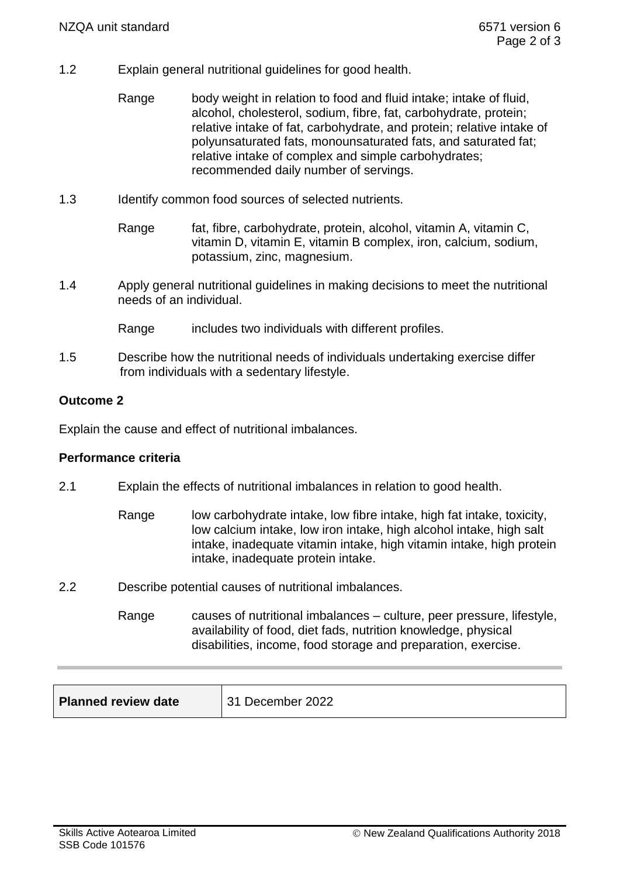- 1.2 Explain general nutritional guidelines for good health.
	- Range body weight in relation to food and fluid intake; intake of fluid, alcohol, cholesterol, sodium, fibre, fat, carbohydrate, protein; relative intake of fat, carbohydrate, and protein; relative intake of polyunsaturated fats, monounsaturated fats, and saturated fat; relative intake of complex and simple carbohydrates; recommended daily number of servings.
- 1.3 Identify common food sources of selected nutrients.
	- Range fat, fibre, carbohydrate, protein, alcohol, vitamin A, vitamin C, vitamin D, vitamin E, vitamin B complex, iron, calcium, sodium, potassium, zinc, magnesium.
- 1.4 Apply general nutritional guidelines in making decisions to meet the nutritional needs of an individual.
	- Range includes two individuals with different profiles.
- 1.5 Describe how the nutritional needs of individuals undertaking exercise differ from individuals with a sedentary lifestyle.

#### **Outcome 2**

Explain the cause and effect of nutritional imbalances.

#### **Performance criteria**

- 2.1 Explain the effects of nutritional imbalances in relation to good health.
	- Range low carbohydrate intake, low fibre intake, high fat intake, toxicity, low calcium intake, low iron intake, high alcohol intake, high salt intake, inadequate vitamin intake, high vitamin intake, high protein intake, inadequate protein intake.
- 2.2 Describe potential causes of nutritional imbalances.

Range causes of nutritional imbalances – culture, peer pressure, lifestyle, availability of food, diet fads, nutrition knowledge, physical disabilities, income, food storage and preparation, exercise.

| <b>Planned review date</b> | 31 December 2022 |
|----------------------------|------------------|
|----------------------------|------------------|